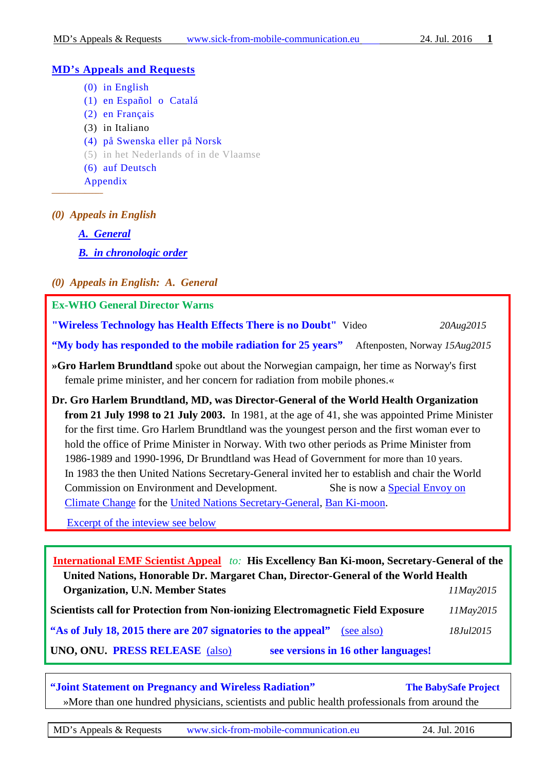#### **MD's Appeals and Requests**

- [\(0\) in English](#page-0-0)
- [\(1\) en Español o Catalá](#page-3-0)
- [\(2\) en Français](#page-4-0)
- (3) in Italiano
- [\(4\) på Swenska](#page-5-0) eller på Norsk
- [\(5\) in het Nederlands of in de Vlaamse](#page-6-0)
- [\(6\) auf Deutsch](#page-6-1)

[Appendix](#page-6-2)

<span id="page-0-0"></span>*––––––––––––––*

- *(0) Appeals in English* 
	- *[A. General](#page-0-1)*
	- *[B. in chronologic order](#page-1-0)*
- <span id="page-0-1"></span>*(0) Appeals in English: A. General*

**Ex-WHO General Director Warns** 

**["Wireless Technology has Health Effects There is no Doubt"](https://www.youtube.com/watch?v=ISsQSwiWI2E)** Video *20Aug2015*

**["My body has responded to the mobile radiation for 25 years"](http://www.aftenposten.no/nyheter/iriks/Brundtland---Min-kropp-har-reagert-pa-mobilstraling-i-25-ar-8125147.html)** Aftenposten, Norway *15Aug2015*

- **»Gro Harlem Brundtland** spoke out about the Norwegian campaign, her time as Norway's first female prime minister, and her concern for radiation from mobile phones.«
- **Dr. Gro Harlem Brundtland, MD, was Director-General of the World Health Organization from 21 July 1998 to 21 July 2003.** In 1981, at the age of 41, she was appointed Prime Minister for the first time. Gro Harlem Brundtland was the youngest person and the first woman ever to hold the office of Prime Minister in Norway. With two other periods as Prime Minister from 1986-1989 and 1990-1996, Dr Brundtland was Head of Government for more than 10 years. In 1983 the then United Nations Secretary-General invited her to establish and chair the World Commission on Environment and Development. She is now a [Special Envoy on](https://en.wikipedia.org/wiki/Special_Envoy_on_Climate_Change)  [Climate Change](https://en.wikipedia.org/wiki/Special_Envoy_on_Climate_Change) for the [United Nations Secretary-General,](https://en.wikipedia.org/wiki/United_Nations_Secretary-General) [Ban Ki-moon.](https://en.wikipedia.org/wiki/Ban_Ki-moon)

Excerpt of the [inteview see below](#page-6-2)

**[International EMF Scientist Appeal](https://www.emfscientist.org/index.php/emf-scientist-appeal)** *to:* **His Excellency Ban Ki-moon, Secretary-General of the United Nations, Honorable Dr. Margaret Chan, Director-General of the World Health Organization, U.N. Member States** *11May2015* **Scientists call for Protection from Non-ionizing Electromagnetic Field Exposure** *11May2015* **["As of July 18, 2015 there are 207 signatories to the appeal"](https://www.emfscientist.org/)** [\(see also\)](http://www.saferemr.com/2015/06/international-scientist-appeal-on.html) *18Jul2015* **UNO, ONU. [PRESS RELEASE](https://www.emfscientist.org/images/docs/EMF_Scientist_Press_Release.pdf)** [\(also\)](http://apps.fcc.gov/ecfs/comment/view?id=60001060375) **[see versions in 16 other languages!](https://www.emfscientist.org/index.php/emf-scientist-appeal)** 

**["Joint Statement on Pregnancy and Wireless Radiation"](http://www.babysafeproject.org/the-joint-statement/) [The BabySafe Project](http://www.babysafeproject.org/)** »More than one hundred physicians, scientists and public health professionals from around the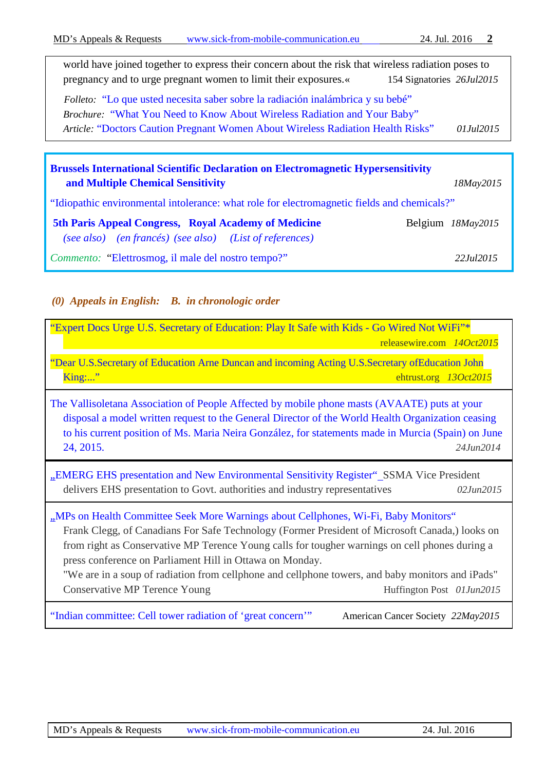| world have joined together to express their concern about the risk that wireless radiation poses to |                           |            |
|-----------------------------------------------------------------------------------------------------|---------------------------|------------|
| pregnancy and to urge pregnant women to limit their exposures.«                                     | 154 Signatories 26Jul2015 |            |
| <i>Folleto:</i> "Lo que usted necesita saber sobre la radiación inalámbrica y su bebé"              |                           |            |
| Brochure: "What You Need to Know About Wireless Radiation and Your Baby"                            |                           |            |
| Article: "Doctors Caution Pregnant Women About Wireless Radiation Health Risks"                     |                           | 01.Jul2015 |
|                                                                                                     |                           |            |

| <b>Brussels International Scientific Declaration on Electromagnetic Hypersensitivity</b>                        |                    |  |  |  |
|-----------------------------------------------------------------------------------------------------------------|--------------------|--|--|--|
| and Multiple Chemical Sensitivity                                                                               | 18May2015          |  |  |  |
| "Idiopathic environmental intolerance: what role for electromagnetic fields and chemicals?"                     |                    |  |  |  |
| 5th Paris Appeal Congress, Royal Academy of Medicine<br>(see also) (en francés) (see also) (List of references) | Belgium 18May2015  |  |  |  |
| <i>Commento:</i> "Elettrosmog, il male del nostro tempo?"                                                       | 22 <i>Jul</i> 2015 |  |  |  |

# <span id="page-1-0"></span>*(0) Appeals in English: B. in chronologic order*

| "Expert Docs Urge U.S. Secretary of Education: Play It Safe with Kids - Go Wired Not WiFi"*<br>releasewire.com 14Oct2015                                                                                                                                                                                                           |  |  |
|------------------------------------------------------------------------------------------------------------------------------------------------------------------------------------------------------------------------------------------------------------------------------------------------------------------------------------|--|--|
| "Dear U.S.Secretary of Education Arne Duncan and incoming Acting U.S.Secretary of Education John<br>$King:$ "<br>ehtrust.org 13Oct2015                                                                                                                                                                                             |  |  |
| The Vallisoletana Association of People Affected by mobile phone masts (AVAATE) puts at your<br>disposal a model written request to the General Director of the World Health Organization ceasing<br>to his current position of Ms. Maria Neira González, for statements made in Murcia (Spain) on June<br>24, 2015.<br>24.Jun2014 |  |  |
| "EMERG EHS presentation and New Environmental Sensitivity Register"_SSMA Vice President<br>delivers EHS presentation to Govt. authorities and industry representatives<br>02. Jun2015                                                                                                                                              |  |  |
|                                                                                                                                                                                                                                                                                                                                    |  |  |

["Indian committee: Cell tower radiation of 'great concern'"](http://www.rcrwireless.com/20150518/cell-tower-news/indian-government-panel-says-cell-tower-radiation-of-great-concern-tag20) American Cancer Society *22May2015*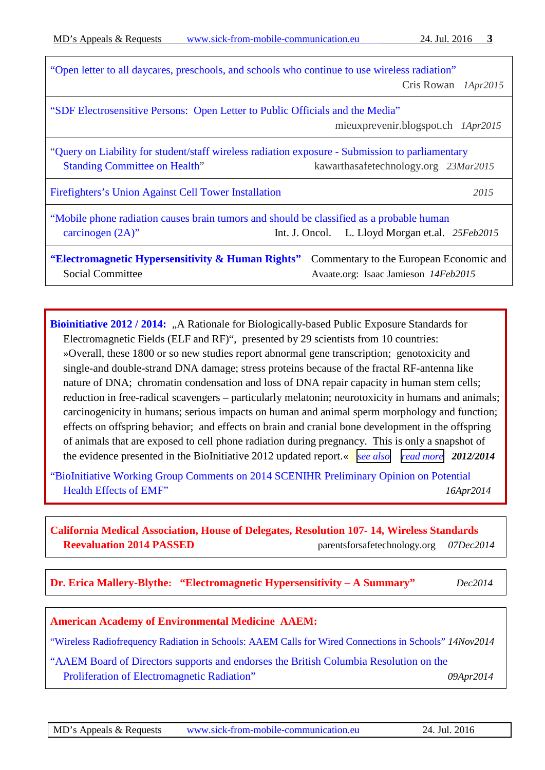| "Open letter to all daycares, preschools, and schools who continue to use wireless radiation"                                                                                   | Cris Rowan 1Apr2015                                                             |  |
|---------------------------------------------------------------------------------------------------------------------------------------------------------------------------------|---------------------------------------------------------------------------------|--|
| "SDF Electrosensitive Persons: Open Letter to Public Officials and the Media"<br>mieuxprevenir.blogspot.ch 1Apr2015                                                             |                                                                                 |  |
| "Query on Liability for student/staff wireless radiation exposure - Submission to parliamentary<br><b>Standing Committee on Health"</b><br>kawarthasafetechnology.org 23Mar2015 |                                                                                 |  |
| Firefighters's Union Against Cell Tower Installation                                                                                                                            | 2015                                                                            |  |
| "Mobile phone radiation causes brain tumors and should be classified as a probable human<br>carcinogen $(2A)$ "<br>Int. J. Oncol. L. Lloyd Morgan et.al. 25Feb2015              |                                                                                 |  |
| "Electromagnetic Hypersensitivity & Human Rights"<br>Social Committee                                                                                                           | Commentary to the European Economic and<br>Avaate.org: Isaac Jamieson 14Feb2015 |  |

**[Bioinitiative 2012 / 2014:](http://www.bioinitiative.org/)** "A Rationale for Biologically-based Public Exposure Standards for Electromagnetic Fields (ELF and RF)", presented by 29 scientists from 10 countries: »Overall, these 1800 or so new studies report abnormal gene transcription; genotoxicity and single-and double-strand DNA damage; stress proteins because of the fractal RF-antenna like nature of DNA; chromatin condensation and loss of DNA repair capacity in human stem cells; reduction in free-radical scavengers – particularly melatonin; neurotoxicity in humans and animals; carcinogenicity in humans; serious impacts on human and animal sperm morphology and function; effects on offspring behavior; and effects on brain and cranial bone development in the offspring of animals that are exposed to cell phone radiation during pregnancy. This is only a snapshot of the evidence presented in the BioInitiative 2012 updated report.« *see [also](http://www.bioinitiative.org/research-summaries) read [more](http://www.bioinitiative.org/report/wp-content/uploads/pdfs/section_1_table_1_2012.pdf) 2012/2014*

"BioInitiative [Working Group Comments on 2014 SCENIHR Preliminary Opinion on Potential](http://www.bioinitiative.org/potential-health-effects-emf/)  [Health Effects of EMF"](http://www.bioinitiative.org/potential-health-effects-emf/) *16Apr2014*

**[California Medical Association, House of Delegates, Resolution 107-](http://www.parentsforsafetechnology.org/california-medical-association-resolution-on-wireless.html) 14, Wireless Standards [Reevaluation 2014 PASSED](http://www.parentsforsafetechnology.org/california-medical-association-resolution-on-wireless.html)** parentsforsafetechnology.org *07Dec2014*

**[Dr. Erica Mallery-Blythe:](http://www.radiationresearch.org/images/rrt_articles/Dr_Erica_Mallery-Blythe_EHS_A_Summary_Working_Draft_Version_1_Dec_2014_for_EESC_Brussels.pdf) "Electromagnetic Hypersensitivity – A Summary"** *Dec2014*

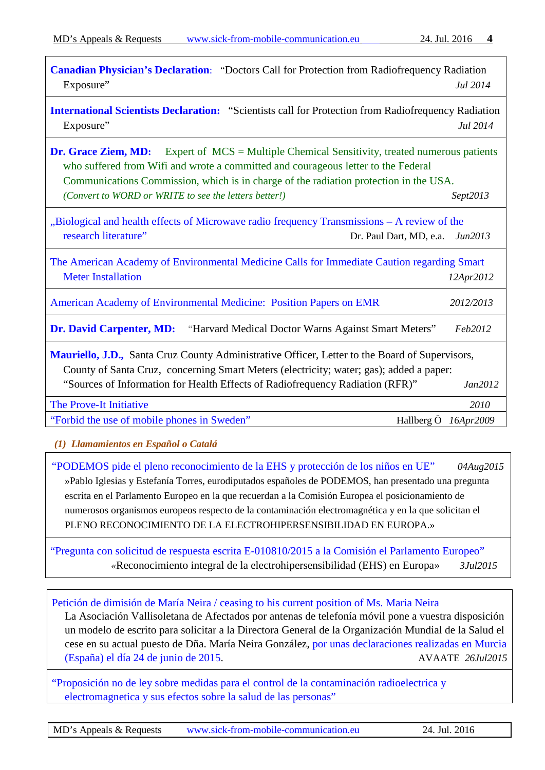| <b>Canadian Physician's Declaration:</b> "Doctors Call for Protection from Radiofrequency Radiation<br>Exposure"                                                                                                                                                                                                                         | Jul 2014  |  |
|------------------------------------------------------------------------------------------------------------------------------------------------------------------------------------------------------------------------------------------------------------------------------------------------------------------------------------------|-----------|--|
| <b>International Scientists Declaration:</b> "Scientists call for Protection from Radiofrequency Radiation<br>Exposure"                                                                                                                                                                                                                  | Jul 2014  |  |
| Expert of $MCS =$ Multiple Chemical Sensitivity, treated numerous patients<br>Dr. Grace Ziem, MD:<br>who suffered from Wifi and wrote a committed and courageous letter to the Federal<br>Communications Commission, which is in charge of the radiation protection in the USA.<br>(Convert to WORD or WRITE to see the letters better!) | Sept2013  |  |
| "Biological and health effects of Microwave radio frequency Transmissions - A review of the<br>research literature"<br>Dr. Paul Dart, MD, e.a.<br>Jun2013                                                                                                                                                                                |           |  |
| The American Academy of Environmental Medicine Calls for Immediate Caution regarding Smart<br><b>Meter Installation</b>                                                                                                                                                                                                                  | 12Apr2012 |  |
| American Academy of Environmental Medicine: Position Papers on EMR                                                                                                                                                                                                                                                                       | 2012/2013 |  |
| <b>Dr. David Carpenter, MD:</b><br>"Harvard Medical Doctor Warns Against Smart Meters"                                                                                                                                                                                                                                                   | Feb2012   |  |
| <b>Mauriello, J.D.,</b> Santa Cruz County Administrative Officer, Letter to the Board of Supervisors,<br>County of Santa Cruz, concerning Smart Meters (electricity; water; gas); added a paper:<br>"Sources of Information for Health Effects of Radiofrequency Radiation (RFR)"<br>Jan2012                                             |           |  |
| The Prove-It Initiative                                                                                                                                                                                                                                                                                                                  | 2010      |  |
| "Forbid the use of mobile phones in Sweden"<br>Hallberg Ö                                                                                                                                                                                                                                                                                | 16Apr2009 |  |
| (1) Llamamientos en Español o Catalá                                                                                                                                                                                                                                                                                                     |           |  |

<span id="page-3-0"></span>"PODEMOS pide el pleno reconocimiento de la EHS y protección de los niños en UE" *04Aug2015* »Pablo Iglesias y Estefanía Torres, eurodiputados españoles de [PODEMOS,](http://podemos.info/) han presentado una [pregunta](http://www.europarl.europa.eu/sides/getDoc.do?pubRef=-//EP//TEXT+WQ+E-2015-010810+0+DOC+XML+V0//EN)  [escrita](http://www.europarl.europa.eu/sides/getDoc.do?pubRef=-//EP//TEXT+WQ+E-2015-010810+0+DOC+XML+V0//EN) en el Parlamento Europeo en la que recuerdan a la Comisión Europea el posicionamiento de numerosos organismos europeos respecto de la contaminación electromagnética y en la que solicitan el PLENO RECONOCIMIENTO DE LA ELECTROHIPERSENSIBILIDAD EN EUROPA.»

["Pregunta con solicitud de respuesta escrita E-010810/2015 a la Comisión el Parlamento Europeo"](http://www.europarl.europa.eu/sides/getDoc.do?pubRef=-//EP//NONSGML+WQ+E-2015-010810+0+DOC+WORD+V0//ES&language=ES)  *«*Reconocimiento integral de la electrohipersensibilidad (EHS) en Europa» *3Jul2015*

[Petición de dimisión de María Neira / ceasing to his current position of Ms. Maria Neira](http://avaate.org/spip.php?article2628)

La Asociación Vallisoletana de Afectados por antenas de telefonía móvil pone a vuestra disposición un modelo de escrito para solicitar a la Directora General de la Organización Mundial de la Salud el cese en su actual puesto de Dña. María Neira González, [por unas declaraciones realizadas en Murcia](http://www.avaate.org/spip.php?article2623)  [\(España\) el día 24 de junio de 2015.](http://www.avaate.org/spip.php?article2623) AVAATE *26Jul2015*

["Proposición no de ley sobre medidas para el control de la contaminación radioelectrica y](http://www.avaate.org/spip.php?article2616)  [electromagnetica y sus efectos sobre la salud de las personas"](http://www.avaate.org/spip.php?article2616)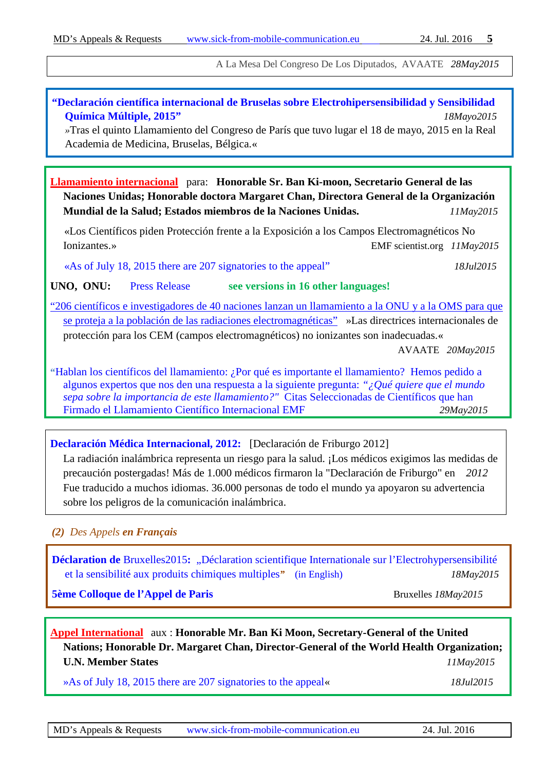A La Mesa Del Congreso De Los Diputados, AVAATE *28May2015*

### **"Declaración científica internacional [de Bruselas sobre Electrohipersensibilidad y Sensibilidad](http://de.scribd.com/doc/279708910/Declaracion-Bruselas-2015-ES)  [Química Múltiple, 2015"](http://de.scribd.com/doc/279708910/Declaracion-Bruselas-2015-ES)** *18Mayo2015*

*»*Tras el quinto Llamamiento del Congreso de París que tuvo lugar el 18 de mayo, 2015 en la Real Academia de Medicina, Bruselas, Bélgica.«

**[Llamamiento internacional](https://emfscientist.org/images/docs/transl/Spanish_EMF_Scientist_Appeal_2105.pdf)** para: **Honorable Sr. Ban Ki-moon, Secretario General de las Naciones Unidas; Honorable doctora Margaret Chan, Directora General de la Organización Mundial de la Salud; Estados miembros de la Naciones Unidas.** *11May2015*

 «Los Científicos piden Protección frente a la Exposición a los Campos Electromagnéticos No Ionizantes.» EMF scientist.org *11May2015*

 [«As of July 18, 2015 there are 207 signatories to the appeal"](https://www.emfscientist.org/) *18Jul2015*

**UNO, ONU:** [Press Release](https://www.emfscientist.org/images/docs/EMF_Scientist_Press_Release.pdf) **[see versions in 16 other languages!](https://www.emfscientist.org/index.php/emf-scientist-appeal)** 

["206 científicos e investigadores de 40 naciones lanzan un llamamiento a la ONU y a la OMS para que](http://avaate.org/spip.php?article2615)  [se proteja a la población de las radiaciones electromagnéticas"](http://avaate.org/spip.php?article2615) »Las directrices internacionales de protección para los CEM (campos electromagnéticos) no ionizantes son inadecuadas.«

AVAATE *20May2015*

**"**[Hablan los científicos del llamamiento: ¿Por qué es importante el llamamiento? Hemos pedido a](http://cemyelectrosensibilidad.blogspot.com.es/2015/05/hablan-los-cientificos-del-llamamiento.html?m=1)  [algunos expertos que nos den una respuesta a la siguiente pregunta:](http://cemyelectrosensibilidad.blogspot.com.es/2015/05/hablan-los-cientificos-del-llamamiento.html?m=1) *"¿Qué quiere que el mundo [sepa sobre la importancia de este llamamiento?"](http://cemyelectrosensibilidad.blogspot.com.es/2015/05/hablan-los-cientificos-del-llamamiento.html?m=1)* Citas Seleccionadas de Científicos que han [Firmado el Llamamiento Científico Internacional EMF](http://cemyelectrosensibilidad.blogspot.com.es/2015/05/hablan-los-cientificos-del-llamamiento.html?m=1) *29May2015*

#### **[Declaración Médica Internacional, 2012:](http://www.peccem.org/DocumentacionDescarga/Cientificos/Declaraciones/Declaracion_Friburgo_Oct_2012.pdf)** [Declaración de Friburgo 2012]

La radiación inalámbrica representa un riesgo para la salud. ¡Los médicos exigimos las medidas de precaución postergadas! Más de 1.000 médicos firmaron la "Declaración de Friburgo" en *2012*  Fue traducido a muchos idiomas. 36.000 personas de todo el mundo ya apoyaron su advertencia sobre los peligros de la comunicación inalámbrica.

#### <span id="page-4-0"></span>*(2) Des Appels en Français*

**Déclaration de** Bruxelles2015: "Déclaration scientifique Internationale sur l'Electrohypersensibilité [et la sensibilité aux produits chimiques multiples](http://appel-de-paris.com/wp-content/uploads/2015/09/D%C3%A9claration-2015-FR.pdf)*"* [\(in English\)](http://www.isde.it/wp-content/uploads/2015/07/D%C3%A9claration-de-Bruxelles.pdf) *18May2015*

**5ème [Colloque de l'Appel de Paris](http://appel-de-paris.com/wp-content/uploads/2015/06/Synth%C3%A8se-colloque-FR.pdf)** Bruxelles *18May2015* 

**[Appel International](https://www.emfscientist.org/images/docs/transl/French_EMF_Scientist_Appeal_2015.pdf)** aux : **Honorable Mr. Ban Ki Moon, Secretary-General of the United Nations; Honorable Dr. Margaret Chan, Director-General of the World Health Organization; U.N. Member States** *11May2015*

[»As of July 18, 2015 there are 207 signatories to the appeal«](https://www.emfscientist.org/) *18Jul2015*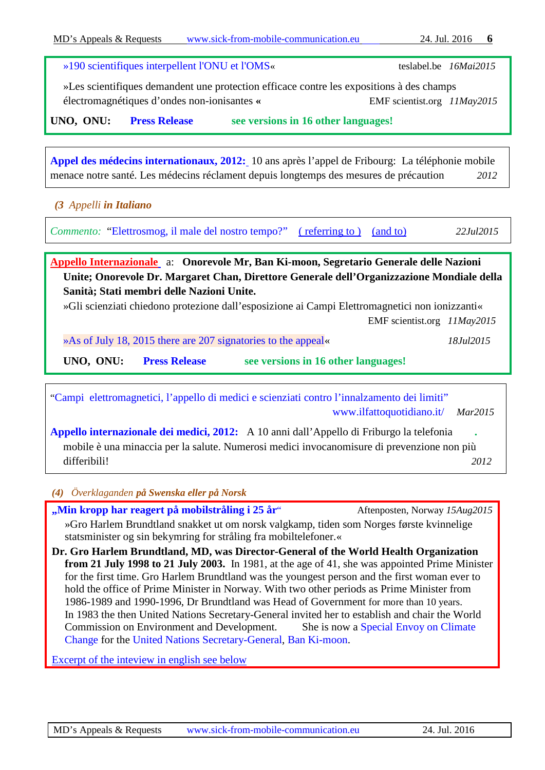**UNO, ONU: [Press Release](https://www.emfscientist.org/images/docs/EMF_Scientist_Press_Release.pdf) [see versions in 16 other languages!](https://www.emfscientist.org/index.php/emf-scientist-appeal)** 

*(3 Appelli in Italiano*

*Commento:* ["Elettrosmog, il male del nostro tempo?"](http://www.isde.it/elettrosmog-il-male-del-nostro-tempo/) [\( referring to \)](https://europaem.eu/attachments/article/43/paris_appeal_2015_abstracts.pdf) [\(and to\)](http://www.isde.it/wp-content/uploads/2015/07/D%C3%A9claration-de-Bruxelles.pdf) *22Jul2015*

**[Appel des médecins internationaux, 2012:](http://freiburger-appell-2012.info/media/Internationaler%20%C3%84rzteappell_%202012_Frz.pdf)** 10 ans après l'appel de Fribourg: La téléphonie mobile

électromagnétiques d'ondes non-ionisantes **«** EMF scientist.org *11May2015*

**[Appello Internazionale](https://emfscientist.org/images/docs/transl/Italian_EMF_Scientist_Appello_2015.pdf)** a: **Onorevole Mr, Ban Ki-moon, Segretario Generale delle Nazioni Unite; Onorevole Dr. Margaret Chan, Direttore Generale dell'Organizzazione Mondiale della Sanità; Stati membri delle Nazioni Unite.**

»Gli scienziati chiedono protezione dall'esposizione ai Campi Elettromagnetici non ionizzanti«

EMF scientist.org *11May2015*

[»As of July 18, 2015 there are 207 signatories to the appeal«](https://www.emfscientist.org/) *18Jul2015*

**UNO, ONU: [Press Release](https://www.emfscientist.org/images/docs/EMF_Scientist_Press_Release.pdf) [see versions in 16 other languages!](https://www.emfscientist.org/index.php/emf-scientist-appeal)** 

["Campi elettromagnetici, l'appello di medici e scienziati contro l'innalzamento dei limiti"](http://www.ilfattoquotidiano.it/2015/03/01/campi-elettromagnetici-lappello-di-medici-e-scienziati-contro-linnalzamento-dei-limiti/1465776/)  [www.ilfattoquotidiano.it/](http://www.ilfattoquotidiano.it/) *Mar2015*

**[Appello internazionale dei medici, 2012:](http://freiburger-appell-2012.info/media/Internationaler%20%C3%84rzteappell%202012%20italienisch.pdf)** A 10 anni dall'Appello di Friburgo la telefonia **.**  mobile è una minaccia per la salute. Numerosi medici invocanomisure di prevenzione non più differibili! *2012*

<span id="page-5-0"></span>*(4) Överklaganden på Swenska eller på Norsk*

**["Min kropp har reagert på mobilstråling i 25 år](http://www.aftenposten.no/nyheter/iriks/Brundtland---Min-kropp-har-reagert-pa-mobilstraling-i-25-ar-8125147.html)** "Aftenposten, Norway *15Aug2015* »Gro Harlem Brundtland snakket ut om norsk valgkamp, tiden som Norges første kvinnelige statsminister og sin bekymring for stråling fra mobiltelefoner.«

**Dr. Gro Harlem Brundtland, MD, was Director-General of the World Health Organization from 21 July 1998 to 21 July 2003.** In 1981, at the age of 41, she was appointed Prime Minister for the first time. Gro Harlem Brundtland was the youngest person and the first woman ever to hold the office of Prime Minister in Norway. With two other periods as Prime Minister from 1986-1989 and 1990-1996, Dr Brundtland was Head of Government for more than 10 years. In 1983 the then United Nations Secretary-General invited her to establish and chair the World Commission on Environment and Development. She is now a [Special Envoy on Climate](https://en.wikipedia.org/wiki/Special_Envoy_on_Climate_Change)  [Change](https://en.wikipedia.org/wiki/Special_Envoy_on_Climate_Change) for the United [Nations Secretary-General,](https://en.wikipedia.org/wiki/United_Nations_Secretary-General) [Ban Ki-moon.](https://en.wikipedia.org/wiki/Ban_Ki-moon)

[Excerpt of the inteview in english see below](#page-6-2)

[»190 scientifiques interpellent l'ONU et l'OMS«](http://www.teslabel.be/activites-et-appels/329-190-scientifiques-interpellent-lonu-et-loms) teslabel.be *16Mai2015*

»Les scientifiques demandent une protection efficace contre les expositions à des champs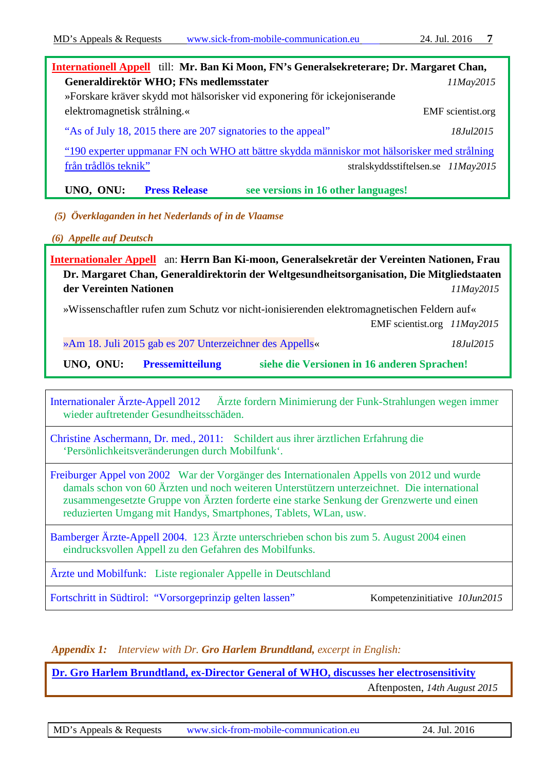| International Appell till: Mr. Ban Ki Moon, FN's Generalsekreterare; Dr. Margaret Chan,     |                                    |  |  |  |
|---------------------------------------------------------------------------------------------|------------------------------------|--|--|--|
| Generaldirektör WHO; FNs medlemsstater                                                      | 11May2015                          |  |  |  |
| »Forskare kräver skydd mot hälsorisker vid exponering för ickejoniserande                   |                                    |  |  |  |
| elektromagnetisk strålning.«                                                                | <b>EMF</b> scientist.org           |  |  |  |
| "As of July 18, 2015 there are 207 signatories to the appeal"                               | 18. <i>Iul</i> 2015                |  |  |  |
| "190 experter uppmanar FN och WHO att bättre skydda människor mot hälsorisker med strålning |                                    |  |  |  |
| från trådlös teknik"                                                                        | stralskyddsstiftelsen.se 11May2015 |  |  |  |
|                                                                                             |                                    |  |  |  |

**UNO, ONU: [Press Release](https://www.emfscientist.org/images/docs/EMF_Scientist_Press_Release.pdf) [see versions in 16 other languages!](https://www.emfscientist.org/index.php/emf-scientist-appeal)** 

<span id="page-6-0"></span>*(5) Överklaganden in het Nederlands of in de Vlaamse*

<span id="page-6-1"></span>*(6) Appelle auf Deutsch*

**[Internationaler Appell](https://emfscientist.org/images/docs/transl/German_EMF_Scientist_Appeal_2015.pdf)** an: **Herrn Ban Ki-moon, Generalsekretär der Vereinten Nationen, Frau Dr. Margaret Chan, Generaldirektorin der Weltgesundheitsorganisation, Die Mitgliedstaaten der Vereinten Nationen** *11May2015*

»Wissenschaftler rufen zum Schutz vor nicht-ionisierenden elektromagnetischen Feldern auf«

EMF scientist.org *11May2015*

[»Am 18. Juli 2015 gab es 207 Unterzeichner des Appells«](https://www.emfscientist.org/) *18Jul2015*

**UNO, ONU: [Pressemitteilung](https://www.emfscientist.org/images/docs/EMF_Scientist_Press_Release.pdf) [siehe die Versionen in 16 anderen Sprachen!](https://www.emfscientist.org/index.php/emf-scientist-appeal)** 

[Internationaler Ärzte-Appell 2012](http://www.freiburger-appell-2012.info/) Ärzte fordern Minimierung der Funk-Strahlungen wegen immer wieder auftretender Gesundheitsschäden.

[Christine Aschermann, Dr. med., 2011:](http://www.symptome.ch/vbboard/elektrosmog/89768-persoenlichkeitsveraenderungen-mobilfunk-chr-aschermann.html) Schildert aus ihrer ärztlichen Erfahrung die 'Persönlichkeitsveränderungen durch Mobilfunk'.

[Freiburger Appel von 2002](http://54088638.swh.strato-hosting.eu/AUM/wp-content/uploads/2014/08/freiburgerappell.pdf) War der Vorgänger des Internationalen Appells von 2012 und wurde damals schon von 60 Ärzten und noch weiteren Unterstützern unterzeichnet. Die international zusammengesetzte Gruppe von Ärzten forderte eine starke Senkung der Grenzwerte und einen reduzierten Umgang mit Handys, Smartphones, Tablets, WLan, usw.

[Bamberger Ärzte-Appell 2004.](http://www.aerzte-und-mobilfunk.eu/aerzte-appelle/bamberger-appell-mobilfunk-praevention-therapie-gesundheit/) 123 Ärzte unterschrieben schon bis zum 5. August 2004 einen eindrucksvollen Appell zu den Gefahren des Mobilfunks.

[Ärzte und Mobilfunk:](http://www.aerzte-und-mobilfunk.eu/aerzte-appelle/aerztliche-appelle-mobilfunk-therapie-praevention-gesundheit/) Liste regionaler Appelle in Deutschland

Fortschritt in Südtirol: "Vorsorgeprinzip gelten lassen"Kompetenzinitiative*10Jun2015*

## *[Appendix](https://dict.leo.org/ende/index_en.html#/search=appendix&searchLoc=0&resultOrder=basic&multiwordShowSingle=on) 1: Interview with Dr. Gro Harlem Brundtland, excerpt in English:*

<span id="page-6-2"></span>**[Dr. Gro Harlem Brundtland, ex-Director General of WHO, discusses her electrosensitivity](http://www.aftenposten.no/nyheter/iriks/Brundtland---Min-kropp-har-reagert-pa-mobilstraling-i-25-ar-8125147.html)**

Aftenposten, *14th August 2015*